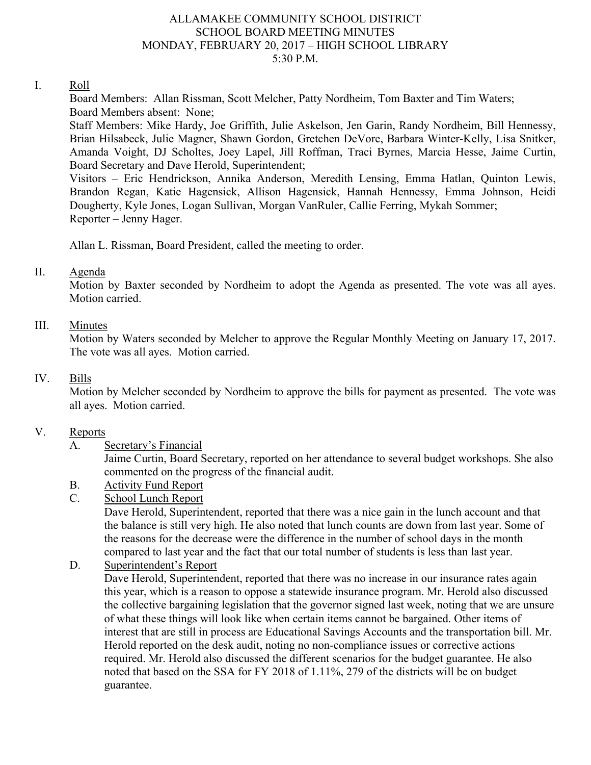#### ALLAMAKEE COMMUNITY SCHOOL DISTRICT SCHOOL BOARD MEETING MINUTES MONDAY, FEBRUARY 20, 2017 – HIGH SCHOOL LIBRARY 5:30 P.M.

#### I. Roll

Board Members: Allan Rissman, Scott Melcher, Patty Nordheim, Tom Baxter and Tim Waters; Board Members absent: None;

Staff Members: Mike Hardy, Joe Griffith, Julie Askelson, Jen Garin, Randy Nordheim, Bill Hennessy, Brian Hilsabeck, Julie Magner, Shawn Gordon, Gretchen DeVore, Barbara Winter-Kelly, Lisa Snitker, Amanda Voight, DJ Scholtes, Joey Lapel, Jill Roffman, Traci Byrnes, Marcia Hesse, Jaime Curtin, Board Secretary and Dave Herold, Superintendent;

Visitors – Eric Hendrickson, Annika Anderson, Meredith Lensing, Emma Hatlan, Quinton Lewis, Brandon Regan, Katie Hagensick, Allison Hagensick, Hannah Hennessy, Emma Johnson, Heidi Dougherty, Kyle Jones, Logan Sullivan, Morgan VanRuler, Callie Ferring, Mykah Sommer; Reporter – Jenny Hager.

Allan L. Rissman, Board President, called the meeting to order.

#### II. Agenda

Motion by Baxter seconded by Nordheim to adopt the Agenda as presented. The vote was all ayes. Motion carried.

#### III. Minutes

Motion by Waters seconded by Melcher to approve the Regular Monthly Meeting on January 17, 2017. The vote was all ayes. Motion carried.

#### IV. Bills

Motion by Melcher seconded by Nordheim to approve the bills for payment as presented. The vote was all ayes. Motion carried.

#### V. Reports

## A. Secretary's Financial

Jaime Curtin, Board Secretary, reported on her attendance to several budget workshops. She also commented on the progress of the financial audit.

## B. Activity Fund Report

## C. School Lunch Report

Dave Herold, Superintendent, reported that there was a nice gain in the lunch account and that the balance is still very high. He also noted that lunch counts are down from last year. Some of the reasons for the decrease were the difference in the number of school days in the month compared to last year and the fact that our total number of students is less than last year.

## D. Superintendent's Report

Dave Herold, Superintendent, reported that there was no increase in our insurance rates again this year, which is a reason to oppose a statewide insurance program. Mr. Herold also discussed the collective bargaining legislation that the governor signed last week, noting that we are unsure of what these things will look like when certain items cannot be bargained. Other items of interest that are still in process are Educational Savings Accounts and the transportation bill. Mr. Herold reported on the desk audit, noting no non-compliance issues or corrective actions required. Mr. Herold also discussed the different scenarios for the budget guarantee. He also noted that based on the SSA for FY 2018 of 1.11%, 279 of the districts will be on budget guarantee.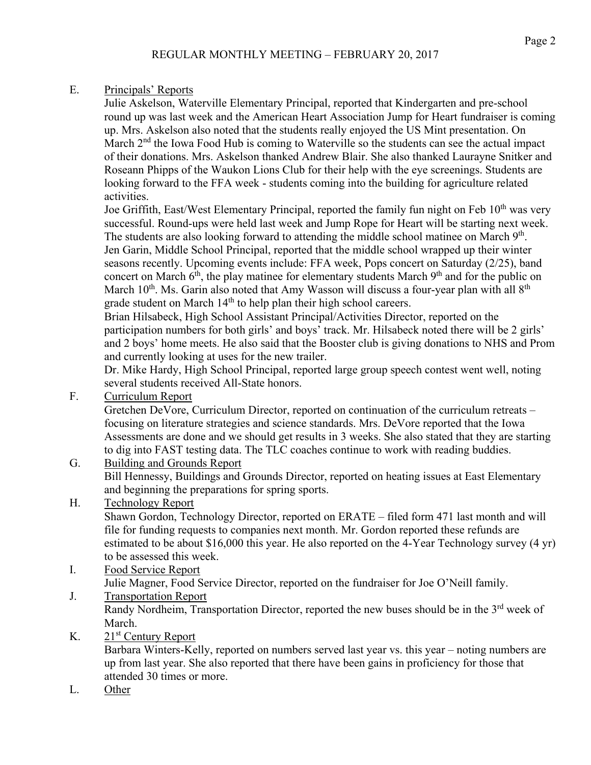## E. Principals' Reports

Julie Askelson, Waterville Elementary Principal, reported that Kindergarten and pre-school round up was last week and the American Heart Association Jump for Heart fundraiser is coming up. Mrs. Askelson also noted that the students really enjoyed the US Mint presentation. On March 2<sup>nd</sup> the Iowa Food Hub is coming to Waterville so the students can see the actual impact of their donations. Mrs. Askelson thanked Andrew Blair. She also thanked Laurayne Snitker and Roseann Phipps of the Waukon Lions Club for their help with the eye screenings. Students are looking forward to the FFA week - students coming into the building for agriculture related activities.

Joe Griffith, East/West Elementary Principal, reported the family fun night on Feb 10<sup>th</sup> was very successful. Round-ups were held last week and Jump Rope for Heart will be starting next week. The students are also looking forward to attending the middle school matinee on March 9<sup>th</sup>. Jen Garin, Middle School Principal, reported that the middle school wrapped up their winter seasons recently. Upcoming events include: FFA week, Pops concert on Saturday (2/25), band concert on March  $6<sup>th</sup>$ , the play matinee for elementary students March  $9<sup>th</sup>$  and for the public on March  $10^{th}$ . Ms. Garin also noted that Amy Wasson will discuss a four-year plan with all  $8^{th}$ grade student on March 14<sup>th</sup> to help plan their high school careers.

Brian Hilsabeck, High School Assistant Principal/Activities Director, reported on the participation numbers for both girls' and boys' track. Mr. Hilsabeck noted there will be 2 girls' and 2 boys' home meets. He also said that the Booster club is giving donations to NHS and Prom and currently looking at uses for the new trailer.

Dr. Mike Hardy, High School Principal, reported large group speech contest went well, noting several students received All-State honors.

F. Curriculum Report

Gretchen DeVore, Curriculum Director, reported on continuation of the curriculum retreats – focusing on literature strategies and science standards. Mrs. DeVore reported that the Iowa Assessments are done and we should get results in 3 weeks. She also stated that they are starting to dig into FAST testing data. The TLC coaches continue to work with reading buddies.

G. Building and Grounds Report

Bill Hennessy, Buildings and Grounds Director, reported on heating issues at East Elementary and beginning the preparations for spring sports.

## H. Technology Report

Shawn Gordon, Technology Director, reported on ERATE – filed form 471 last month and will file for funding requests to companies next month. Mr. Gordon reported these refunds are estimated to be about \$16,000 this year. He also reported on the 4-Year Technology survey (4 yr) to be assessed this week.

- I. Food Service Report Julie Magner, Food Service Director, reported on the fundraiser for Joe O'Neill family.
- J. Transportation Report Randy Nordheim, Transportation Director, reported the new buses should be in the 3<sup>rd</sup> week of March.
- K.  $21<sup>st</sup>$  Century Report

Barbara Winters-Kelly, reported on numbers served last year vs. this year – noting numbers are up from last year. She also reported that there have been gains in proficiency for those that attended 30 times or more.

L. Other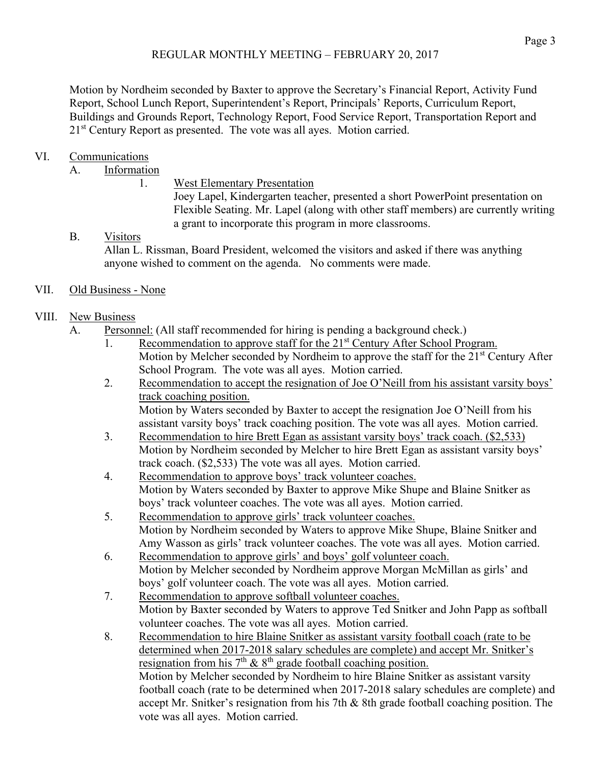Motion by Nordheim seconded by Baxter to approve the Secretary's Financial Report, Activity Fund Report, School Lunch Report, Superintendent's Report, Principals' Reports, Curriculum Report, Buildings and Grounds Report, Technology Report, Food Service Report, Transportation Report and 2<sup>1st</sup> Century Report as presented. The vote was all ayes. Motion carried.

# VI. Communications

A. Information

1. West Elementary Presentation

Joey Lapel, Kindergarten teacher, presented a short PowerPoint presentation on Flexible Seating. Mr. Lapel (along with other staff members) are currently writing a grant to incorporate this program in more classrooms.

B. Visitors Allan L. Rissman, Board President, welcomed the visitors and asked if there was anything anyone wished to comment on the agenda. No comments were made.

## VII. Old Business - None

# VIII. New Business

- A. Personnel: (All staff recommended for hiring is pending a background check.)
	- 1. Recommendation to approve staff for the 21<sup>st</sup> Century After School Program. Motion by Melcher seconded by Nordheim to approve the staff for the 21<sup>st</sup> Century After School Program. The vote was all ayes. Motion carried.
	- 2. Recommendation to accept the resignation of Joe O'Neill from his assistant varsity boys' track coaching position.

Motion by Waters seconded by Baxter to accept the resignation Joe O'Neill from his assistant varsity boys' track coaching position. The vote was all ayes. Motion carried.

- 3. Recommendation to hire Brett Egan as assistant varsity boys' track coach. (\$2,533) Motion by Nordheim seconded by Melcher to hire Brett Egan as assistant varsity boys' track coach. (\$2,533) The vote was all ayes. Motion carried.
- 4. Recommendation to approve boys' track volunteer coaches. Motion by Waters seconded by Baxter to approve Mike Shupe and Blaine Snitker as boys' track volunteer coaches. The vote was all ayes. Motion carried.
- 5. Recommendation to approve girls' track volunteer coaches. Motion by Nordheim seconded by Waters to approve Mike Shupe, Blaine Snitker and Amy Wasson as girls' track volunteer coaches. The vote was all ayes. Motion carried.
- 6. Recommendation to approve girls' and boys' golf volunteer coach. Motion by Melcher seconded by Nordheim approve Morgan McMillan as girls' and boys' golf volunteer coach. The vote was all ayes. Motion carried.
- 7. Recommendation to approve softball volunteer coaches. Motion by Baxter seconded by Waters to approve Ted Snitker and John Papp as softball volunteer coaches. The vote was all ayes. Motion carried.
- 8. Recommendation to hire Blaine Snitker as assistant varsity football coach (rate to be determined when 2017-2018 salary schedules are complete) and accept Mr. Snitker's resignation from his  $7<sup>th</sup>$  &  $8<sup>th</sup>$  grade football coaching position. Motion by Melcher seconded by Nordheim to hire Blaine Snitker as assistant varsity football coach (rate to be determined when 2017-2018 salary schedules are complete) and accept Mr. Snitker's resignation from his 7th & 8th grade football coaching position. The vote was all ayes. Motion carried.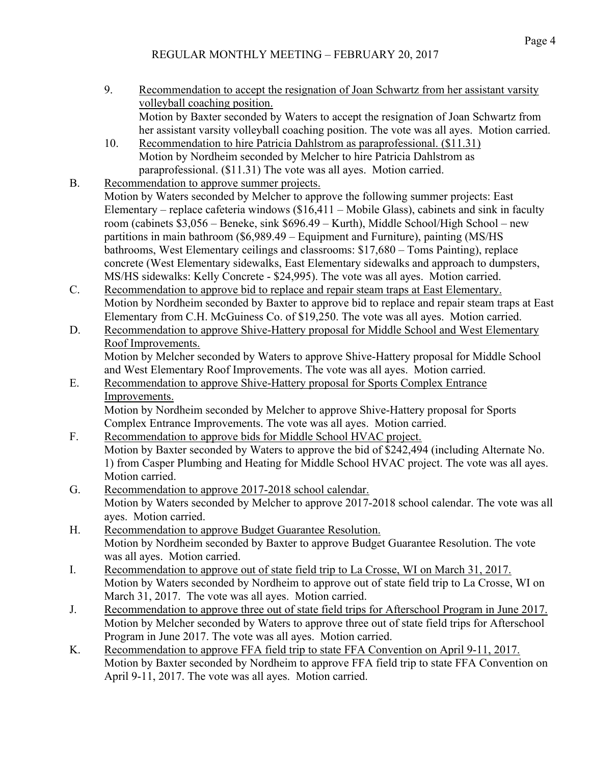- 9. Recommendation to accept the resignation of Joan Schwartz from her assistant varsity volleyball coaching position. Motion by Baxter seconded by Waters to accept the resignation of Joan Schwartz from her assistant varsity volleyball coaching position. The vote was all ayes. Motion carried.
- 10. Recommendation to hire Patricia Dahlstrom as paraprofessional. (\$11.31) Motion by Nordheim seconded by Melcher to hire Patricia Dahlstrom as paraprofessional. (\$11.31) The vote was all ayes. Motion carried.
- B. Recommendation to approve summer projects. Motion by Waters seconded by Melcher to approve the following summer projects: East Elementary – replace cafeteria windows (\$16,411 – Mobile Glass), cabinets and sink in faculty room (cabinets \$3,056 – Beneke, sink \$696.49 – Kurth), Middle School/High School – new partitions in main bathroom (\$6,989.49 – Equipment and Furniture), painting (MS/HS bathrooms, West Elementary ceilings and classrooms: \$17,680 – Toms Painting), replace concrete (West Elementary sidewalks, East Elementary sidewalks and approach to dumpsters, MS/HS sidewalks: Kelly Concrete - \$24,995). The vote was all ayes. Motion carried.
- C. Recommendation to approve bid to replace and repair steam traps at East Elementary. Motion by Nordheim seconded by Baxter to approve bid to replace and repair steam traps at East Elementary from C.H. McGuiness Co. of \$19,250. The vote was all ayes. Motion carried.
- D. Recommendation to approve Shive-Hattery proposal for Middle School and West Elementary Roof Improvements. Motion by Melcher seconded by Waters to approve Shive-Hattery proposal for Middle School and West Elementary Roof Improvements. The vote was all ayes. Motion carried.
- E. Recommendation to approve Shive-Hattery proposal for Sports Complex Entrance Improvements. Motion by Nordheim seconded by Melcher to approve Shive-Hattery proposal for Sports Complex Entrance Improvements. The vote was all ayes. Motion carried.
- F. Recommendation to approve bids for Middle School HVAC project. Motion by Baxter seconded by Waters to approve the bid of \$242,494 (including Alternate No. 1) from Casper Plumbing and Heating for Middle School HVAC project. The vote was all ayes. Motion carried.
- G. Recommendation to approve 2017-2018 school calendar. Motion by Waters seconded by Melcher to approve 2017-2018 school calendar. The vote was all ayes. Motion carried.
- H. Recommendation to approve Budget Guarantee Resolution. Motion by Nordheim seconded by Baxter to approve Budget Guarantee Resolution. The vote was all ayes. Motion carried.
- I. Recommendation to approve out of state field trip to La Crosse, WI on March 31, 2017. Motion by Waters seconded by Nordheim to approve out of state field trip to La Crosse, WI on March 31, 2017. The vote was all ayes. Motion carried.
- J. Recommendation to approve three out of state field trips for Afterschool Program in June 2017. Motion by Melcher seconded by Waters to approve three out of state field trips for Afterschool Program in June 2017. The vote was all ayes. Motion carried.
- K. Recommendation to approve FFA field trip to state FFA Convention on April 9-11, 2017. Motion by Baxter seconded by Nordheim to approve FFA field trip to state FFA Convention on April 9-11, 2017. The vote was all ayes. Motion carried.